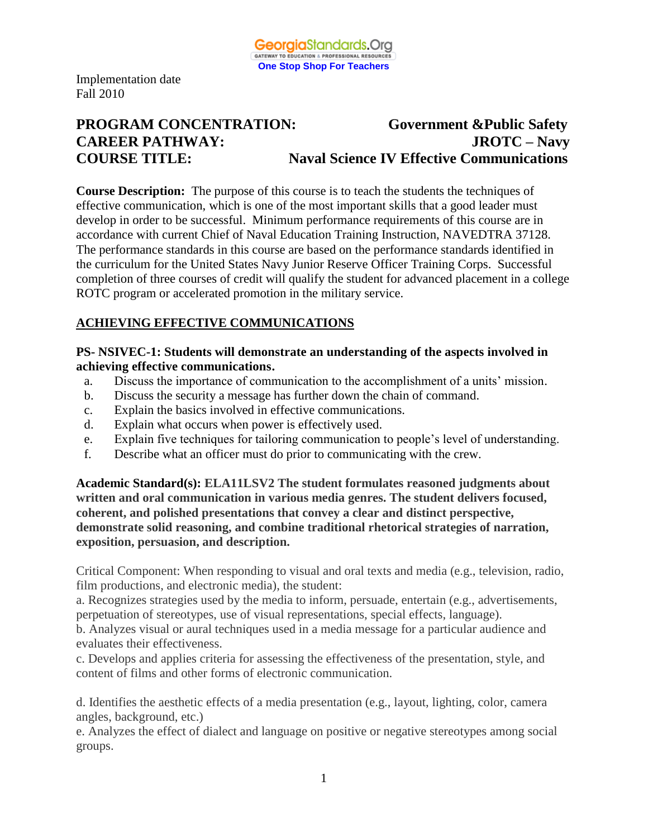

# **PROGRAM CONCENTRATION: Government &Public Safety CAREER PATHWAY: JROTC – Navy COURSE TITLE: Naval Science IV Effective Communications**

**Course Description:** The purpose of this course is to teach the students the techniques of effective communication, which is one of the most important skills that a good leader must develop in order to be successful. Minimum performance requirements of this course are in accordance with current Chief of Naval Education Training Instruction, NAVEDTRA 37128. The performance standards in this course are based on the performance standards identified in the curriculum for the United States Navy Junior Reserve Officer Training Corps. Successful completion of three courses of credit will qualify the student for advanced placement in a college ROTC program or accelerated promotion in the military service.

# **ACHIEVING EFFECTIVE COMMUNICATIONS**

#### **PS- NSIVEC-1: Students will demonstrate an understanding of the aspects involved in achieving effective communications.**

- a. Discuss the importance of communication to the accomplishment of a units' mission.
- b. Discuss the security a message has further down the chain of command.
- c. Explain the basics involved in effective communications.
- d. Explain what occurs when power is effectively used.
- e. Explain five techniques for tailoring communication to people's level of understanding.
- f. Describe what an officer must do prior to communicating with the crew.

**Academic Standard(s): ELA11LSV2 The student formulates reasoned judgments about written and oral communication in various media genres. The student delivers focused, coherent, and polished presentations that convey a clear and distinct perspective, demonstrate solid reasoning, and combine traditional rhetorical strategies of narration, exposition, persuasion, and description.**

Critical Component: When responding to visual and oral texts and media (e.g., television, radio, film productions, and electronic media), the student:

a. Recognizes strategies used by the media to inform, persuade, entertain (e.g., advertisements, perpetuation of stereotypes, use of visual representations, special effects, language).

b. Analyzes visual or aural techniques used in a media message for a particular audience and evaluates their effectiveness.

c. Develops and applies criteria for assessing the effectiveness of the presentation, style, and content of films and other forms of electronic communication.

d. Identifies the aesthetic effects of a media presentation (e.g., layout, lighting, color, camera angles, background, etc.)

e. Analyzes the effect of dialect and language on positive or negative stereotypes among social groups.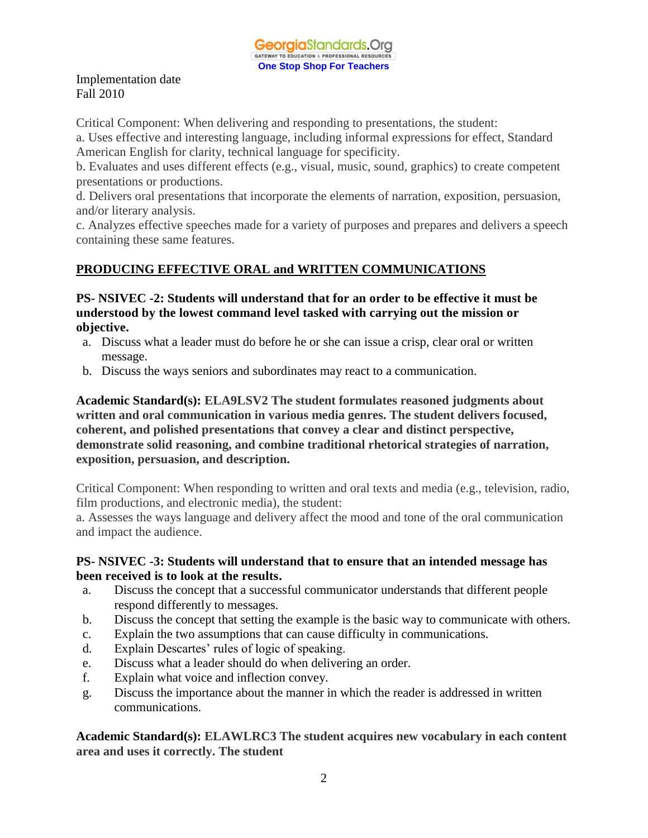Critical Component: When delivering and responding to presentations, the student:

a. Uses effective and interesting language, including informal expressions for effect, Standard American English for clarity, technical language for specificity.

b. Evaluates and uses different effects (e.g., visual, music, sound, graphics) to create competent presentations or productions.

d. Delivers oral presentations that incorporate the elements of narration, exposition, persuasion, and/or literary analysis.

c. Analyzes effective speeches made for a variety of purposes and prepares and delivers a speech containing these same features.

## **PRODUCING EFFECTIVE ORAL and WRITTEN COMMUNICATIONS**

## **PS- NSIVEC -2: Students will understand that for an order to be effective it must be understood by the lowest command level tasked with carrying out the mission or objective.**

- a. Discuss what a leader must do before he or she can issue a crisp, clear oral or written message.
- b. Discuss the ways seniors and subordinates may react to a communication.

**Academic Standard(s): ELA9LSV2 The student formulates reasoned judgments about written and oral communication in various media genres. The student delivers focused, coherent, and polished presentations that convey a clear and distinct perspective, demonstrate solid reasoning, and combine traditional rhetorical strategies of narration, exposition, persuasion, and description.**

Critical Component: When responding to written and oral texts and media (e.g., television, radio, film productions, and electronic media), the student:

a. Assesses the ways language and delivery affect the mood and tone of the oral communication and impact the audience.

## **PS- NSIVEC -3: Students will understand that to ensure that an intended message has been received is to look at the results.**

- a. Discuss the concept that a successful communicator understands that different people respond differently to messages.
- b. Discuss the concept that setting the example is the basic way to communicate with others.
- c. Explain the two assumptions that can cause difficulty in communications.
- d. Explain Descartes' rules of logic of speaking.
- e. Discuss what a leader should do when delivering an order.
- f. Explain what voice and inflection convey.
- g. Discuss the importance about the manner in which the reader is addressed in written communications.

**Academic Standard(s): ELAWLRC3 The student acquires new vocabulary in each content area and uses it correctly. The student**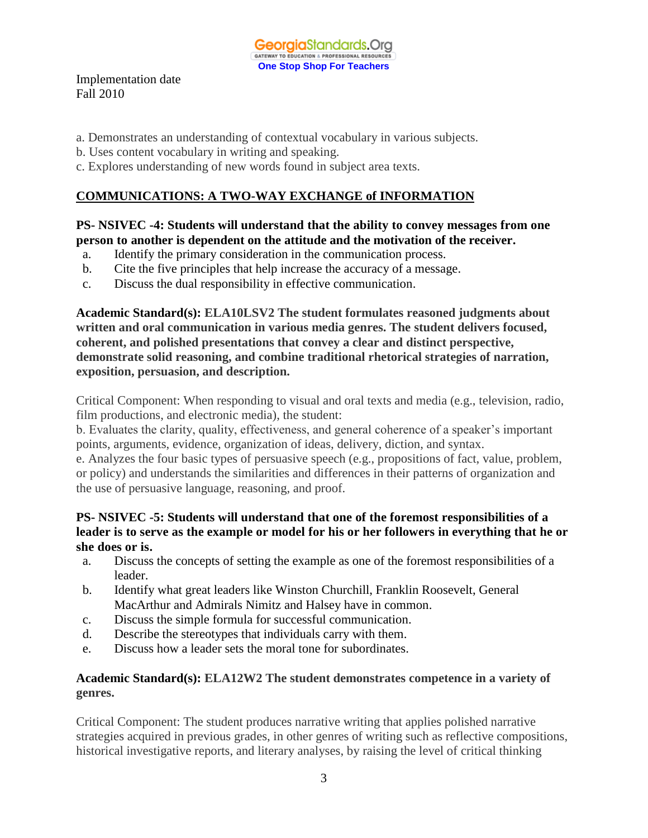

- a. Demonstrates an understanding of contextual vocabulary in various subjects.
- b. Uses content vocabulary in writing and speaking.
- c. Explores understanding of new words found in subject area texts.

# **COMMUNICATIONS: A TWO-WAY EXCHANGE of INFORMATION**

## **PS- NSIVEC -4: Students will understand that the ability to convey messages from one person to another is dependent on the attitude and the motivation of the receiver.**

- a. Identify the primary consideration in the communication process.
- b. Cite the five principles that help increase the accuracy of a message.
- c. Discuss the dual responsibility in effective communication.

**Academic Standard(s): ELA10LSV2 The student formulates reasoned judgments about written and oral communication in various media genres. The student delivers focused, coherent, and polished presentations that convey a clear and distinct perspective, demonstrate solid reasoning, and combine traditional rhetorical strategies of narration, exposition, persuasion, and description.**

Critical Component: When responding to visual and oral texts and media (e.g., television, radio, film productions, and electronic media), the student:

b. Evaluates the clarity, quality, effectiveness, and general coherence of a speaker's important points, arguments, evidence, organization of ideas, delivery, diction, and syntax.

e. Analyzes the four basic types of persuasive speech (e.g., propositions of fact, value, problem, or policy) and understands the similarities and differences in their patterns of organization and the use of persuasive language, reasoning, and proof.

## **PS- NSIVEC -5: Students will understand that one of the foremost responsibilities of a leader is to serve as the example or model for his or her followers in everything that he or she does or is.**

- a. Discuss the concepts of setting the example as one of the foremost responsibilities of a leader.
- b. Identify what great leaders like Winston Churchill, Franklin Roosevelt, General MacArthur and Admirals Nimitz and Halsey have in common.
- c. Discuss the simple formula for successful communication.
- d. Describe the stereotypes that individuals carry with them.
- e. Discuss how a leader sets the moral tone for subordinates.

## **Academic Standard(s): ELA12W2 The student demonstrates competence in a variety of genres.**

Critical Component: The student produces narrative writing that applies polished narrative strategies acquired in previous grades, in other genres of writing such as reflective compositions, historical investigative reports, and literary analyses, by raising the level of critical thinking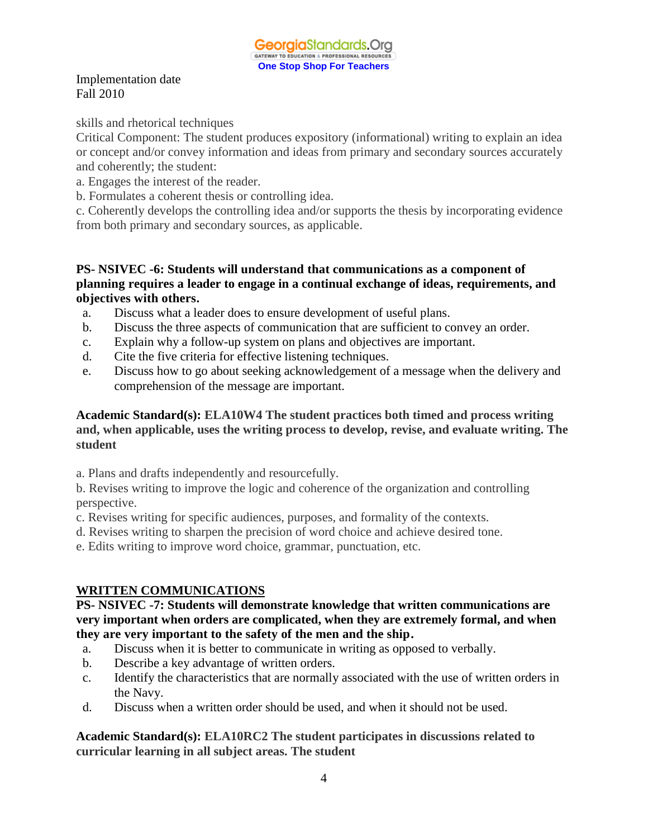skills and rhetorical techniques

Critical Component: The student produces expository (informational) writing to explain an idea or concept and/or convey information and ideas from primary and secondary sources accurately and coherently; the student:

- a. Engages the interest of the reader.
- b. Formulates a coherent thesis or controlling idea.

c. Coherently develops the controlling idea and/or supports the thesis by incorporating evidence from both primary and secondary sources, as applicable.

#### **PS- NSIVEC -6: Students will understand that communications as a component of planning requires a leader to engage in a continual exchange of ideas, requirements, and objectives with others.**

- a. Discuss what a leader does to ensure development of useful plans.
- b. Discuss the three aspects of communication that are sufficient to convey an order.
- c. Explain why a follow-up system on plans and objectives are important.
- d. Cite the five criteria for effective listening techniques.
- e. Discuss how to go about seeking acknowledgement of a message when the delivery and comprehension of the message are important.

## **Academic Standard(s): ELA10W4 The student practices both timed and process writing and, when applicable, uses the writing process to develop, revise, and evaluate writing. The student**

- a. Plans and drafts independently and resourcefully.
- b. Revises writing to improve the logic and coherence of the organization and controlling perspective.
- c. Revises writing for specific audiences, purposes, and formality of the contexts.
- d. Revises writing to sharpen the precision of word choice and achieve desired tone.
- e. Edits writing to improve word choice, grammar, punctuation, etc.

## **WRITTEN COMMUNICATIONS**

#### **PS- NSIVEC -7: Students will demonstrate knowledge that written communications are very important when orders are complicated, when they are extremely formal, and when they are very important to the safety of the men and the ship.**

- a. Discuss when it is better to communicate in writing as opposed to verbally.
- b. Describe a key advantage of written orders.
- c. Identify the characteristics that are normally associated with the use of written orders in the Navy.
- d. Discuss when a written order should be used, and when it should not be used.

**Academic Standard(s): ELA10RC2 The student participates in discussions related to curricular learning in all subject areas. The student**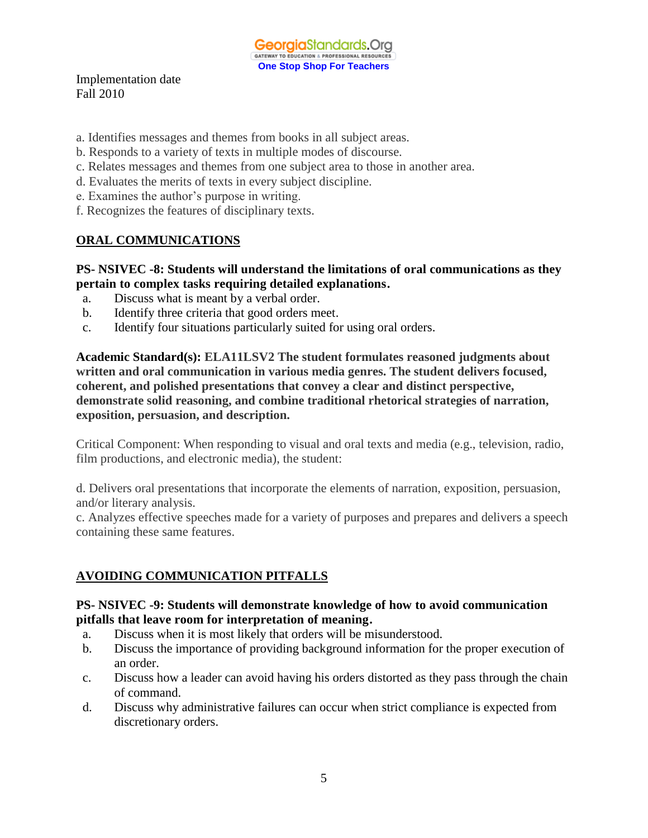GeorgiaStandards.Org GATEWAY TO EDUCATION & PROFESSIONAL RESOURCE **One Stop Shop For Teachers**

Implementation date Fall 2010

- a. Identifies messages and themes from books in all subject areas.
- b. Responds to a variety of texts in multiple modes of discourse.
- c. Relates messages and themes from one subject area to those in another area.
- d. Evaluates the merits of texts in every subject discipline.
- e. Examines the author's purpose in writing.
- f. Recognizes the features of disciplinary texts.

# **ORAL COMMUNICATIONS**

## **PS- NSIVEC -8: Students will understand the limitations of oral communications as they pertain to complex tasks requiring detailed explanations.**

- a. Discuss what is meant by a verbal order.
- b. Identify three criteria that good orders meet.
- c. Identify four situations particularly suited for using oral orders.

**Academic Standard(s): ELA11LSV2 The student formulates reasoned judgments about written and oral communication in various media genres. The student delivers focused, coherent, and polished presentations that convey a clear and distinct perspective, demonstrate solid reasoning, and combine traditional rhetorical strategies of narration, exposition, persuasion, and description.**

Critical Component: When responding to visual and oral texts and media (e.g., television, radio, film productions, and electronic media), the student:

d. Delivers oral presentations that incorporate the elements of narration, exposition, persuasion, and/or literary analysis.

c. Analyzes effective speeches made for a variety of purposes and prepares and delivers a speech containing these same features.

# **AVOIDING COMMUNICATION PITFALLS**

## **PS- NSIVEC -9: Students will demonstrate knowledge of how to avoid communication pitfalls that leave room for interpretation of meaning.**

- a. Discuss when it is most likely that orders will be misunderstood.
- b. Discuss the importance of providing background information for the proper execution of an order.
- c. Discuss how a leader can avoid having his orders distorted as they pass through the chain of command.
- d. Discuss why administrative failures can occur when strict compliance is expected from discretionary orders.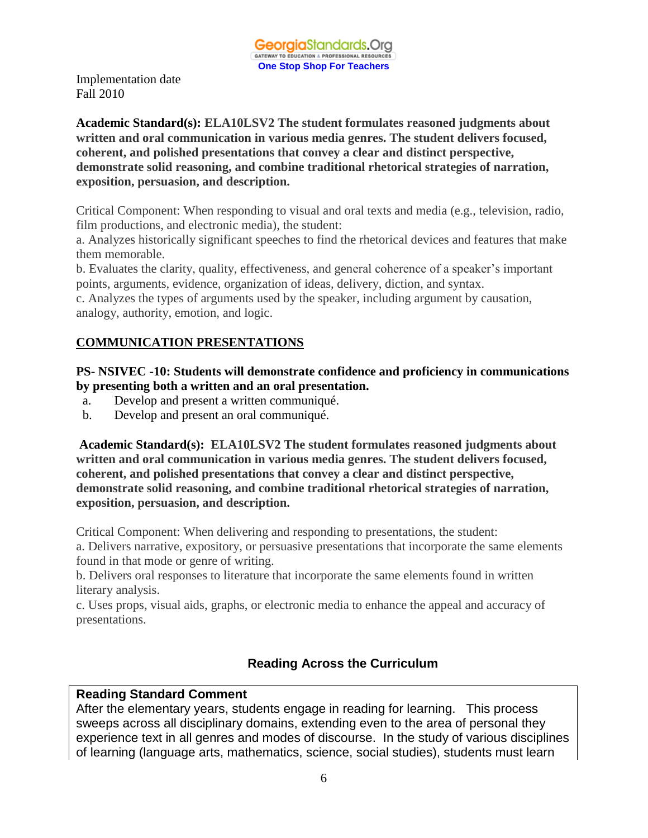**Academic Standard(s): ELA10LSV2 The student formulates reasoned judgments about written and oral communication in various media genres. The student delivers focused, coherent, and polished presentations that convey a clear and distinct perspective, demonstrate solid reasoning, and combine traditional rhetorical strategies of narration, exposition, persuasion, and description.**

Critical Component: When responding to visual and oral texts and media (e.g., television, radio, film productions, and electronic media), the student:

a. Analyzes historically significant speeches to find the rhetorical devices and features that make them memorable.

b. Evaluates the clarity, quality, effectiveness, and general coherence of a speaker's important points, arguments, evidence, organization of ideas, delivery, diction, and syntax.

c. Analyzes the types of arguments used by the speaker, including argument by causation, analogy, authority, emotion, and logic.

# **COMMUNICATION PRESENTATIONS**

## **PS- NSIVEC -10: Students will demonstrate confidence and proficiency in communications by presenting both a written and an oral presentation.**

- a. Develop and present a written communiqué.
- b. Develop and present an oral communiqué.

**Academic Standard(s): ELA10LSV2 The student formulates reasoned judgments about written and oral communication in various media genres. The student delivers focused, coherent, and polished presentations that convey a clear and distinct perspective, demonstrate solid reasoning, and combine traditional rhetorical strategies of narration, exposition, persuasion, and description.**

Critical Component: When delivering and responding to presentations, the student:

a. Delivers narrative, expository, or persuasive presentations that incorporate the same elements found in that mode or genre of writing.

b. Delivers oral responses to literature that incorporate the same elements found in written literary analysis.

c. Uses props, visual aids, graphs, or electronic media to enhance the appeal and accuracy of presentations.

# **Reading Across the Curriculum**

# **Reading Standard Comment**

After the elementary years, students engage in reading for learning. This process sweeps across all disciplinary domains, extending even to the area of personal they experience text in all genres and modes of discourse. In the study of various disciplines of learning (language arts, mathematics, science, social studies), students must learn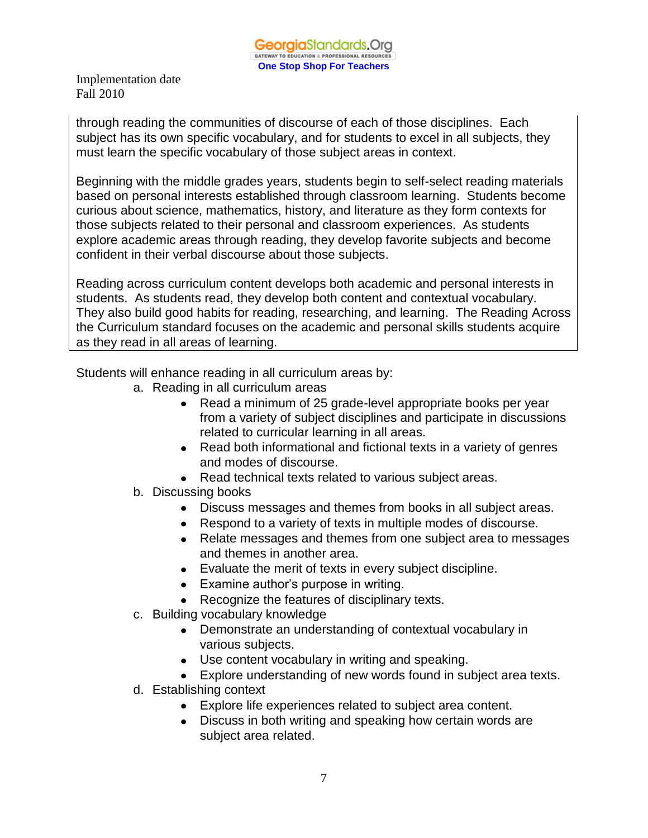through reading the communities of discourse of each of those disciplines. Each subject has its own specific vocabulary, and for students to excel in all subjects, they must learn the specific vocabulary of those subject areas in context.

Beginning with the middle grades years, students begin to self-select reading materials based on personal interests established through classroom learning. Students become curious about science, mathematics, history, and literature as they form contexts for those subjects related to their personal and classroom experiences. As students explore academic areas through reading, they develop favorite subjects and become confident in their verbal discourse about those subjects.

Reading across curriculum content develops both academic and personal interests in students. As students read, they develop both content and contextual vocabulary. They also build good habits for reading, researching, and learning. The Reading Across the Curriculum standard focuses on the academic and personal skills students acquire as they read in all areas of learning.

Students will enhance reading in all curriculum areas by:

- a. Reading in all curriculum areas
	- Read a minimum of 25 grade-level appropriate books per year from a variety of subject disciplines and participate in discussions related to curricular learning in all areas.
	- Read both informational and fictional texts in a variety of genres and modes of discourse.
	- Read technical texts related to various subject areas.
- b. Discussing books
	- Discuss messages and themes from books in all subject areas.
	- Respond to a variety of texts in multiple modes of discourse.
	- Relate messages and themes from one subject area to messages and themes in another area.
	- Evaluate the merit of texts in every subject discipline.
	- Examine author's purpose in writing.
	- Recognize the features of disciplinary texts.
- c. Building vocabulary knowledge
	- Demonstrate an understanding of contextual vocabulary in various subjects.
	- Use content vocabulary in writing and speaking.
	- Explore understanding of new words found in subject area texts.
- d. Establishing context
	- Explore life experiences related to subject area content.
	- Discuss in both writing and speaking how certain words are subject area related.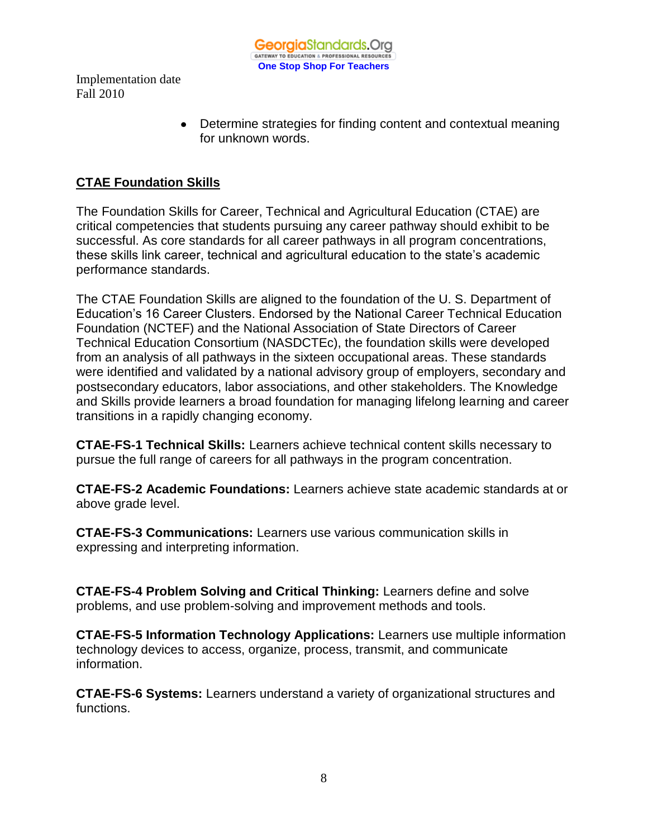

> Determine strategies for finding content and contextual meaning for unknown words.

# **CTAE Foundation Skills**

The Foundation Skills for Career, Technical and Agricultural Education (CTAE) are critical competencies that students pursuing any career pathway should exhibit to be successful. As core standards for all career pathways in all program concentrations, these skills link career, technical and agricultural education to the state's academic performance standards.

The CTAE Foundation Skills are aligned to the foundation of the U. S. Department of Education's 16 Career Clusters. Endorsed by the National Career Technical Education Foundation (NCTEF) and the National Association of State Directors of Career Technical Education Consortium (NASDCTEc), the foundation skills were developed from an analysis of all pathways in the sixteen occupational areas. These standards were identified and validated by a national advisory group of employers, secondary and postsecondary educators, labor associations, and other stakeholders. The Knowledge and Skills provide learners a broad foundation for managing lifelong learning and career transitions in a rapidly changing economy.

**CTAE-FS-1 Technical Skills:** Learners achieve technical content skills necessary to pursue the full range of careers for all pathways in the program concentration.

**CTAE-FS-2 Academic Foundations:** Learners achieve state academic standards at or above grade level.

**CTAE-FS-3 Communications:** Learners use various communication skills in expressing and interpreting information.

**CTAE-FS-4 Problem Solving and Critical Thinking:** Learners define and solve problems, and use problem-solving and improvement methods and tools.

**CTAE-FS-5 Information Technology Applications:** Learners use multiple information technology devices to access, organize, process, transmit, and communicate information.

**CTAE-FS-6 Systems:** Learners understand a variety of organizational structures and functions.